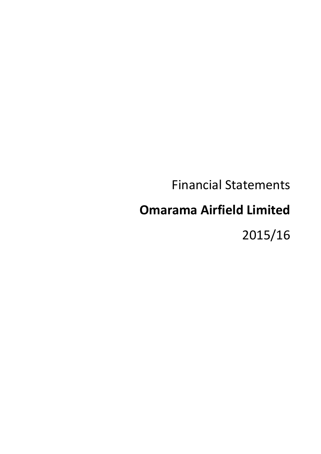# Financial Statements

# **Omarama Airfield Limited**

2015/16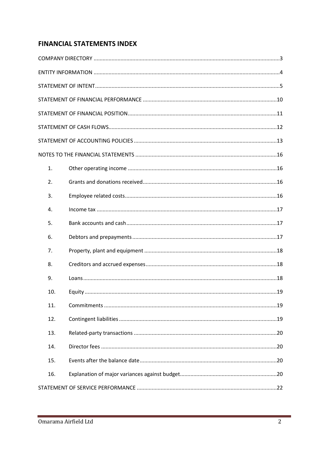## **FINANCIAL STATEMENTS INDEX**

| 1.  |  |
|-----|--|
| 2.  |  |
| 3.  |  |
| 4.  |  |
| 5.  |  |
| 6.  |  |
| 7.  |  |
| 8.  |  |
| 9.  |  |
| 10. |  |
| 11. |  |
| 12. |  |
| 13. |  |
| 14. |  |
| 15. |  |
| 16. |  |
|     |  |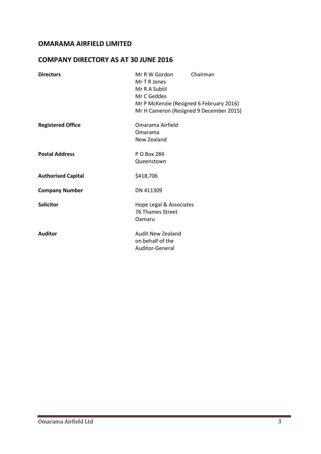## **COMPANY DIRECTORY AS AT 30 JUNE 2016**

| <b>Directors</b>          | Mr R W Gordon<br>Mr T R Jones<br>Mr R A Subtil<br>Mr C Geddes<br>Mr P McKenzie (Resigned 6 February 2016)<br>Mr H Cameron (Resigned 9 December 2015) | Chairman |
|---------------------------|------------------------------------------------------------------------------------------------------------------------------------------------------|----------|
| <b>Registered Office</b>  | Omarama Airfield<br>Omarama<br>New Zealand                                                                                                           |          |
| <b>Postal Address</b>     | P O Box 284<br>Queenstown                                                                                                                            |          |
| <b>Authorised Capital</b> | \$418,706                                                                                                                                            |          |
| <b>Company Number</b>     | DN 411309                                                                                                                                            |          |
| <b>Solicitor</b>          | Hope Legal & Associates<br><b>76 Thames Street</b><br>Oamaru                                                                                         |          |
| <b>Auditor</b>            | Audit New Zealand<br>on behalf of the<br>Auditor-General                                                                                             |          |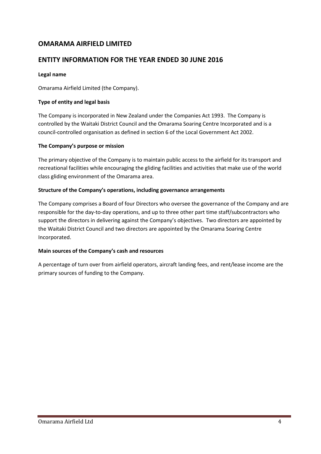## **ENTITY INFORMATION FOR THE YEAR ENDED 30 JUNE 2016**

#### **Legal name**

Omarama Airfield Limited (the Company).

#### **Type of entity and legal basis**

The Company is incorporated in New Zealand under the Companies Act 1993. The Company is controlled by the Waitaki District Council and the Omarama Soaring Centre Incorporated and is a council-controlled organisation as defined in section 6 of the Local Government Act 2002.

#### **The Company's purpose or mission**

The primary objective of the Company is to maintain public access to the airfield for its transport and recreational facilities while encouraging the gliding facilities and activities that make use of the world class gliding environment of the Omarama area.

#### **Structure of the Company's operations, including governance arrangements**

The Company comprises a Board of four Directors who oversee the governance of the Company and are responsible for the day-to-day operations, and up to three other part time staff/subcontractors who support the directors in delivering against the Company's objectives. Two directors are appointed by the Waitaki District Council and two directors are appointed by the Omarama Soaring Centre Incorporated.

#### **Main sources of the Company's cash and resources**

A percentage of turn over from airfield operators, aircraft landing fees, and rent/lease income are the primary sources of funding to the Company.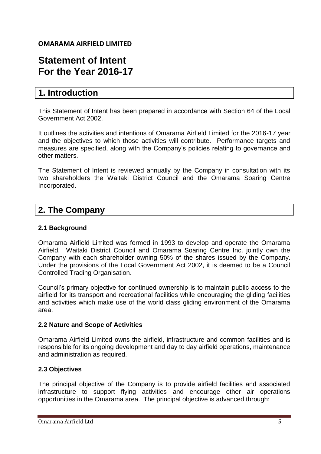## **Statement of Intent For the Year 2016-17**

## **1. Introduction**

This Statement of Intent has been prepared in accordance with Section 64 of the Local Government Act 2002.

It outlines the activities and intentions of Omarama Airfield Limited for the 2016-17 year and the objectives to which those activities will contribute. Performance targets and measures are specified, along with the Company's policies relating to governance and other matters.

The Statement of Intent is reviewed annually by the Company in consultation with its two shareholders the Waitaki District Council and the Omarama Soaring Centre Incorporated.

## **2. The Company**

## **2.1 Background**

Omarama Airfield Limited was formed in 1993 to develop and operate the Omarama Airfield. Waitaki District Council and Omarama Soaring Centre Inc. jointly own the Company with each shareholder owning 50% of the shares issued by the Company. Under the provisions of the Local Government Act 2002, it is deemed to be a Council Controlled Trading Organisation.

Council's primary objective for continued ownership is to maintain public access to the airfield for its transport and recreational facilities while encouraging the gliding facilities and activities which make use of the world class gliding environment of the Omarama area.

## **2.2 Nature and Scope of Activities**

Omarama Airfield Limited owns the airfield, infrastructure and common facilities and is responsible for its ongoing development and day to day airfield operations, maintenance and administration as required.

## **2.3 Objectives**

The principal objective of the Company is to provide airfield facilities and associated infrastructure to support flying activities and encourage other air operations opportunities in the Omarama area. The principal objective is advanced through: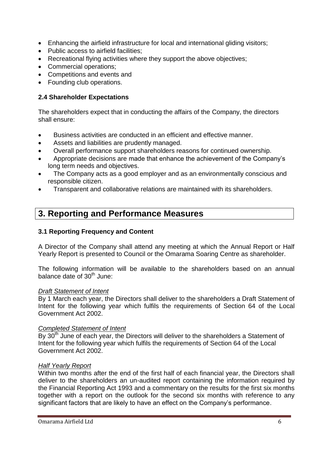- Enhancing the airfield infrastructure for local and international gliding visitors;
- Public access to airfield facilities:
- Recreational flying activities where they support the above objectives;
- Commercial operations;
- Competitions and events and
- Founding club operations.

## **2.4 Shareholder Expectations**

The shareholders expect that in conducting the affairs of the Company, the directors shall ensure:

- Business activities are conducted in an efficient and effective manner.
- Assets and liabilities are prudently managed.
- Overall performance support shareholders reasons for continued ownership.
- Appropriate decisions are made that enhance the achievement of the Company's long term needs and objectives.
- The Company acts as a good employer and as an environmentally conscious and responsible citizen.
- Transparent and collaborative relations are maintained with its shareholders.

## **3. Reporting and Performance Measures**

## **3.1 Reporting Frequency and Content**

A Director of the Company shall attend any meeting at which the Annual Report or Half Yearly Report is presented to Council or the Omarama Soaring Centre as shareholder.

The following information will be available to the shareholders based on an annual balance date of 30<sup>th</sup> June:

### *Draft Statement of Intent*

By 1 March each year, the Directors shall deliver to the shareholders a Draft Statement of Intent for the following year which fulfils the requirements of Section 64 of the Local Government Act 2002.

### *Completed Statement of Intent*

By 30<sup>th</sup> June of each year, the Directors will deliver to the shareholders a Statement of Intent for the following year which fulfils the requirements of Section 64 of the Local Government Act 2002.

### *Half Yearly Report*

Within two months after the end of the first half of each financial year, the Directors shall deliver to the shareholders an un-audited report containing the information required by the Financial Reporting Act 1993 and a commentary on the results for the first six months together with a report on the outlook for the second six months with reference to any significant factors that are likely to have an effect on the Company's performance.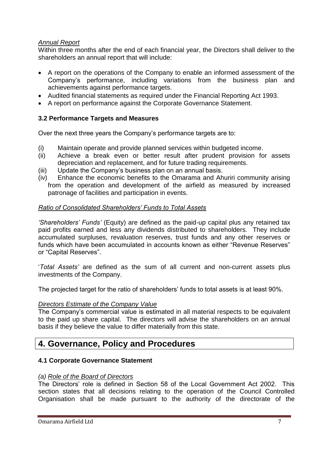## *Annual Report*

Within three months after the end of each financial year, the Directors shall deliver to the shareholders an annual report that will include:

- A report on the operations of the Company to enable an informed assessment of the Company's performance, including variations from the business plan and achievements against performance targets.
- Audited financial statements as required under the Financial Reporting Act 1993.
- A report on performance against the Corporate Governance Statement.

## **3.2 Performance Targets and Measures**

Over the next three years the Company's performance targets are to:

- (i) Maintain operate and provide planned services within budgeted income.
- (ii) Achieve a break even or better result after prudent provision for assets depreciation and replacement, and for future trading requirements.
- (iii) Update the Company's business plan on an annual basis.
- (iv) Enhance the economic benefits to the Omarama and Ahuriri community arising from the operation and development of the airfield as measured by increased patronage of facilities and participation in events.

## *Ratio of Consolidated Shareholders' Funds to Total Assets*

*'Shareholders' Funds'* (Equity) are defined as the paid-up capital plus any retained tax paid profits earned and less any dividends distributed to shareholders. They include accumulated surpluses, revaluation reserves, trust funds and any other reserves or funds which have been accumulated in accounts known as either "Revenue Reserves" or "Capital Reserves".

'*Total Assets'* are defined as the sum of all current and non-current assets plus investments of the Company.

The projected target for the ratio of shareholders' funds to total assets is at least 90%.

## *Directors Estimate of the Company Value*

The Company's commercial value is estimated in all material respects to be equivalent to the paid up share capital. The directors will advise the shareholders on an annual basis if they believe the value to differ materially from this state.

## **4. Governance, Policy and Procedures**

## **4.1 Corporate Governance Statement**

## *(a) Role of the Board of Directors*

The Directors' role is defined in Section 58 of the Local Government Act 2002. This section states that all decisions relating to the operation of the Council Controlled Organisation shall be made pursuant to the authority of the directorate of the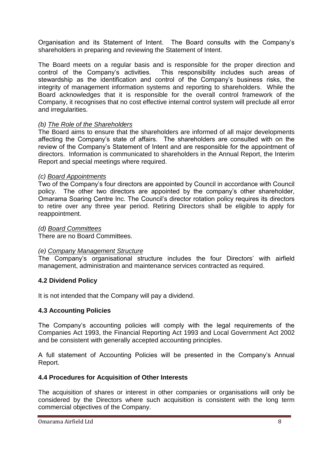Organisation and its Statement of Intent. The Board consults with the Company's shareholders in preparing and reviewing the Statement of Intent.

The Board meets on a regular basis and is responsible for the proper direction and control of the Company's activities. This responsibility includes such areas of stewardship as the identification and control of the Company's business risks, the integrity of management information systems and reporting to shareholders. While the Board acknowledges that it is responsible for the overall control framework of the Company, it recognises that no cost effective internal control system will preclude all error and irregularities.

## *(b) The Role of the Shareholders*

The Board aims to ensure that the shareholders are informed of all major developments affecting the Company's state of affairs. The shareholders are consulted with on the review of the Company's Statement of Intent and are responsible for the appointment of directors. Information is communicated to shareholders in the Annual Report, the Interim Report and special meetings where required.

### *(c) Board Appointments*

Two of the Company's four directors are appointed by Council in accordance with Council policy. The other two directors are appointed by the company's other shareholder, Omarama Soaring Centre Inc. The Council's director rotation policy requires its directors to retire over any three year period. Retiring Directors shall be eligible to apply for reappointment.

## *(d) Board Committees*

There are no Board Committees.

### *(e) Company Management Structure*

The Company's organisational structure includes the four Directors' with airfield management, administration and maintenance services contracted as required.

## **4.2 Dividend Policy**

It is not intended that the Company will pay a dividend.

## **4.3 Accounting Policies**

The Company's accounting policies will comply with the legal requirements of the Companies Act 1993, the Financial Reporting Act 1993 and Local Government Act 2002 and be consistent with generally accepted accounting principles.

A full statement of Accounting Policies will be presented in the Company's Annual Report.

### **4.4 Procedures for Acquisition of Other Interests**

The acquisition of shares or interest in other companies or organisations will only be considered by the Directors where such acquisition is consistent with the long term commercial objectives of the Company.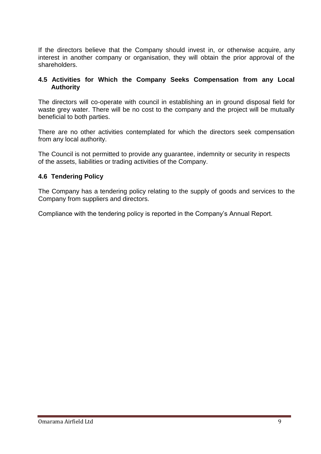If the directors believe that the Company should invest in, or otherwise acquire, any interest in another company or organisation, they will obtain the prior approval of the shareholders.

## **4.5 Activities for Which the Company Seeks Compensation from any Local Authority**

The directors will co-operate with council in establishing an in ground disposal field for waste grey water. There will be no cost to the company and the project will be mutually beneficial to both parties.

There are no other activities contemplated for which the directors seek compensation from any local authority.

The Council is not permitted to provide any guarantee, indemnity or security in respects of the assets, liabilities or trading activities of the Company.

## **4.6 Tendering Policy**

The Company has a tendering policy relating to the supply of goods and services to the Company from suppliers and directors.

Compliance with the tendering policy is reported in the Company's Annual Report.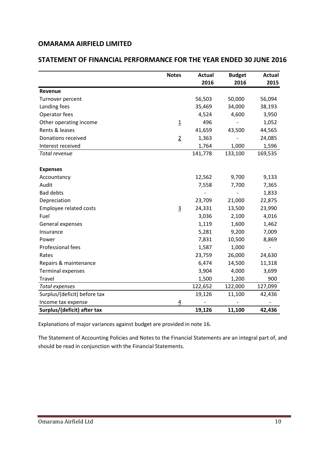## **STATEMENT OF FINANCIAL PERFORMANCE FOR THE YEAR ENDED 30 JUNE 2016**

|                              | <b>Notes</b>   | <b>Actual</b> | <b>Budget</b> | <b>Actual</b> |
|------------------------------|----------------|---------------|---------------|---------------|
|                              |                | 2016          | 2016          | 2015          |
| Revenue                      |                |               |               |               |
| Turnover percent             |                | 56,503        | 50,000        | 56,094        |
| Landing fees                 |                | 35,469        | 34,000        | 38,193        |
| Operator fees                |                | 4,524         | 4,600         | 3,950         |
| Other operating income       | $\overline{1}$ | 496           |               | 1,052         |
| Rents & leases               |                | 41,659        | 43,500        | 44,565        |
| Donations received           | $\overline{2}$ | 1,363         |               | 24,085        |
| Interest received            |                | 1,764         | 1,000         | 1,596         |
| Total revenue                |                | 141,778       | 133,100       | 169,535       |
| <b>Expenses</b>              |                |               |               |               |
| Accountancy                  |                | 12,562        | 9,700         | 9,133         |
| Audit                        |                | 7,558         | 7,700         | 7,365         |
| <b>Bad debts</b>             |                |               |               | 1,833         |
| Depreciation                 |                | 23,709        | 21,000        | 22,875        |
| Employee related costs       | $\overline{3}$ | 24,331        | 13,500        | 23,990        |
| Fuel                         |                | 3,036         | 2,100         | 4,016         |
| General expenses             |                | 1,119         | 1,600         | 1,462         |
| Insurance                    |                | 5,281         | 9,200         | 7,009         |
| Power                        |                | 7,831         | 10,500        | 8,869         |
| Professional fees            |                | 1,587         | 1,000         |               |
| Rates                        |                | 23,759        | 26,000        | 24,630        |
| Repairs & maintenance        |                | 6,474         | 14,500        | 11,318        |
| <b>Terminal expenses</b>     |                | 3,904         | 4,000         | 3,699         |
| Travel                       |                | 1,500         | 1,200         | 900           |
| <b>Total expenses</b>        |                | 122,652       | 122,000       | 127,099       |
| Surplus/(deficit) before tax |                | 19,126        | 11,100        | 42,436        |
| Income tax expense           | $\overline{4}$ |               |               |               |
| Surplus/(deficit) after tax  |                | 19,126        | 11,100        | 42,436        |

Explanations of major variances against budget are provided in note 16.

The Statement of Accounting Policies and Notes to the Financial Statements are an integral part of, and should be read in conjunction with the Financial Statements.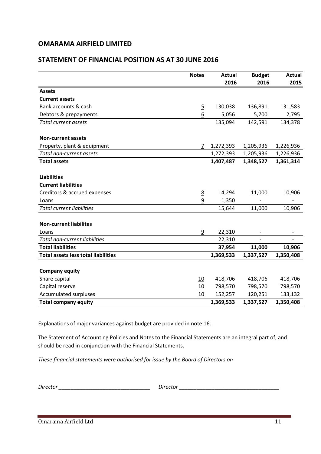## **STATEMENT OF FINANCIAL POSITION AS AT 30 JUNE 2016**

|                                            | <b>Notes</b>    | <b>Actual</b> | <b>Budget</b> | <b>Actual</b> |
|--------------------------------------------|-----------------|---------------|---------------|---------------|
|                                            |                 | 2016          | 2016          | 2015          |
| <b>Assets</b>                              |                 |               |               |               |
| <b>Current assets</b>                      |                 |               |               |               |
| Bank accounts & cash                       | $\overline{5}$  | 130,038       | 136,891       | 131,583       |
| Debtors & prepayments                      | $\underline{6}$ | 5,056         | 5,700         | 2,795         |
| <b>Total current assets</b>                |                 | 135,094       | 142,591       | 134,378       |
| <b>Non-current assets</b>                  |                 |               |               |               |
| Property, plant & equipment                | 7               | 1,272,393     | 1,205,936     | 1,226,936     |
| Total non-current assets                   |                 | 1,272,393     | 1,205,936     | 1,226,936     |
| <b>Total assets</b>                        |                 | 1,407,487     | 1,348,527     | 1,361,314     |
| <b>Liabilities</b>                         |                 |               |               |               |
| <b>Current liabilities</b>                 |                 |               |               |               |
| Creditors & accrued expenses               | $\underline{8}$ | 14,294        | 11,000        | 10,906        |
| Loans                                      | 9               | 1,350         |               |               |
| <b>Total current liabilities</b>           |                 | 15,644        | 11,000        | 10,906        |
| <b>Non-current liabilites</b>              |                 |               |               |               |
| Loans                                      | 9               | 22,310        |               |               |
| <b>Total non-current liabilities</b>       |                 | 22,310        |               |               |
| <b>Total liabilities</b>                   |                 | 37,954        | 11,000        | 10,906        |
| <b>Total assets less total liabilities</b> |                 | 1,369,533     | 1,337,527     | 1,350,408     |
|                                            |                 |               |               |               |
| <b>Company equity</b>                      |                 |               |               |               |
| Share capital                              | 10              | 418,706       | 418,706       | 418,706       |
| Capital reserve                            | 10              | 798,570       | 798,570       | 798,570       |
| Accumulated surpluses                      | 10              | 152,257       | 120,251       | 133,132       |
| <b>Total company equity</b>                |                 | 1,369,533     | 1,337,527     | 1,350,408     |

Explanations of major variances against budget are provided in note 16.

The Statement of Accounting Policies and Notes to the Financial Statements are an integral part of, and should be read in conjunction with the Financial Statements.

*These financial statements were authorised for issue by the Board of Directors on* 

| -         | siroctor. |
|-----------|-----------|
| -         | :LLU      |
| .)irector |           |
|           |           |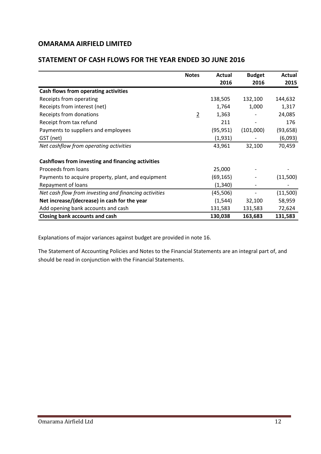## **STATEMENT OF CASH FLOWS FOR THE YEAR ENDED 3O JUNE 2016**

|                                                       | <b>Notes</b>   | Actual    | <b>Budget</b>            | Actual    |
|-------------------------------------------------------|----------------|-----------|--------------------------|-----------|
|                                                       |                | 2016      | 2016                     | 2015      |
| Cash flows from operating activities                  |                |           |                          |           |
| Receipts from operating                               |                | 138,505   | 132,100                  | 144,632   |
| Receipts from interest (net)                          |                | 1,764     | 1,000                    | 1,317     |
| Receipts from donations                               | $\overline{2}$ | 1,363     |                          | 24,085    |
| Receipt from tax refund                               |                | 211       | $\overline{\phantom{a}}$ | 176       |
| Payments to suppliers and employees                   |                | (95, 951) | (101,000)                | (93, 658) |
| GST (net)                                             |                | (1,931)   |                          | (6,093)   |
| Net cashflow from operating activities                |                | 43,961    | 32,100                   | 70,459    |
|                                                       |                |           |                          |           |
| Cashflows from investing and financing activities     |                |           |                          |           |
| Proceeds from loans                                   |                | 25,000    |                          |           |
| Payments to acquire property, plant, and equipment    |                | (69, 165) |                          | (11,500)  |
| Repayment of loans                                    |                | (1, 340)  |                          |           |
| Net cash flow from investing and financing activities |                | (45, 506) |                          | (11,500)  |
| Net increase/(decrease) in cash for the year          |                | (1, 544)  | 32,100                   | 58,959    |
| Add opening bank accounts and cash                    |                | 131,583   | 131,583                  | 72,624    |
| Closing bank accounts and cash                        |                | 130,038   | 163,683                  | 131,583   |

Explanations of major variances against budget are provided in note 16.

The Statement of Accounting Policies and Notes to the Financial Statements are an integral part of, and should be read in conjunction with the Financial Statements.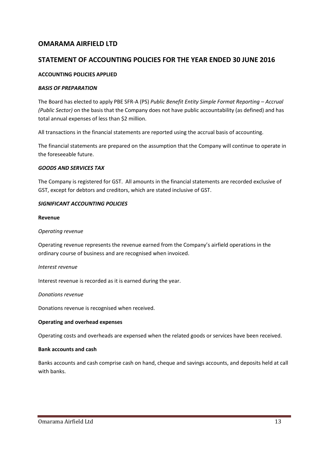## **STATEMENT OF ACCOUNTING POLICIES FOR THE YEAR ENDED 30 JUNE 2016**

#### **ACCOUNTING POLICIES APPLIED**

#### *BASIS OF PREPARATION*

The Board has elected to apply PBE SFR-A (PS) *Public Benefit Entity Simple Format Reporting – Accrual (Public Sector)* on the basis that the Company does not have public accountability (as defined) and has total annual expenses of less than \$2 million.

All transactions in the financial statements are reported using the accrual basis of accounting.

The financial statements are prepared on the assumption that the Company will continue to operate in the foreseeable future.

#### *GOODS AND SERVICES TAX*

The Company is registered for GST. All amounts in the financial statements are recorded exclusive of GST, except for debtors and creditors, which are stated inclusive of GST.

#### *SIGNIFICANT ACCOUNTING POLICIES*

#### **Revenue**

#### *Operating revenue*

Operating revenue represents the revenue earned from the Company's airfield operations in the ordinary course of business and are recognised when invoiced.

#### *Interest revenue*

Interest revenue is recorded as it is earned during the year.

#### *Donations revenue*

Donations revenue is recognised when received.

#### **Operating and overhead expenses**

Operating costs and overheads are expensed when the related goods or services have been received.

#### **Bank accounts and cash**

Banks accounts and cash comprise cash on hand, cheque and savings accounts, and deposits held at call with banks.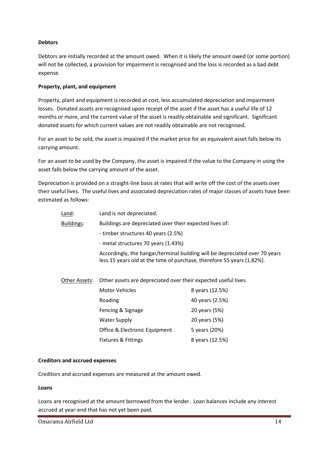#### **Debtors**

Debtors are initially recorded at the amount owed. When it is likely the amount owed (or some portion) will not be collected, a provision for impairment is recognised and the loss is recorded as a bad debt expense.

#### **Property, plant, and equipment**

Property, plant and equipment is recorded at cost, less accumulated depreciation and impairment losses. Donated assets are recognised upon receipt of the asset if the asset has a useful life of 12 months or more, and the current value of the asset is readily obtainable and significant. Significant donated assets for which current values are not readily obtainable are not recognised.

For an asset to be sold, the asset is impaired if the market price for an equivalent asset falls below its carrying amount.

For an asset to be used by the Company, the asset is impaired if the value to the Company in using the asset falls below the carrying amount of the asset.

Depreciation is provided on a straight-line basis at rates that will write off the cost of the assets over their useful lives. The useful lives and associated depreciation rates of major classes of assets have been estimated as follows:

| Land:      | Land is not depreciated.                                                                                                                              |
|------------|-------------------------------------------------------------------------------------------------------------------------------------------------------|
| Buildings: | Buildings are depreciated over their expected lives of:                                                                                               |
|            | - timber structures 40 years (2.5%)                                                                                                                   |
|            | - metal structures 70 years (1.43%)                                                                                                                   |
|            | Accordingly, the hangar/terminal building will be depreciated over 70 years<br>less 15 years old at the time of purchase, therefore 55 years (1.82%). |

Other Assets: Other assets are depreciated over their expected useful lives.

| Motor Vehicles                 | 8 years (12.5%) |
|--------------------------------|-----------------|
| Roading                        | 40 years (2.5%) |
| Fencing & Signage              | 20 years (5%)   |
| <b>Water Supply</b>            | 20 years (5%)   |
| Office & Electronic Equipment  | 5 years (20%)   |
| <b>Fixtures &amp; Fittings</b> | 8 years (12.5%) |

#### **Creditors and accrued expenses**

Creditors and accrued expenses are measured at the amount owed.

#### **Loans**

Loans are recognised at the amount borrowed from the lender. Loan balances include any interest accrued at year-end that has not yet been paid.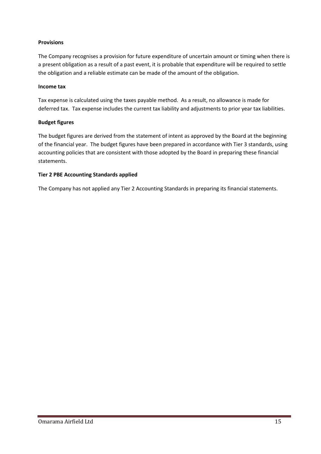#### **Provisions**

The Company recognises a provision for future expenditure of uncertain amount or timing when there is a present obligation as a result of a past event, it is probable that expenditure will be required to settle the obligation and a reliable estimate can be made of the amount of the obligation.

#### **Income tax**

Tax expense is calculated using the taxes payable method. As a result, no allowance is made for deferred tax. Tax expense includes the current tax liability and adjustments to prior year tax liabilities.

#### **Budget figures**

The budget figures are derived from the statement of intent as approved by the Board at the beginning of the financial year. The budget figures have been prepared in accordance with Tier 3 standards, using accounting policies that are consistent with those adopted by the Board in preparing these financial statements.

#### **Tier 2 PBE Accounting Standards applied**

The Company has not applied any Tier 2 Accounting Standards in preparing its financial statements.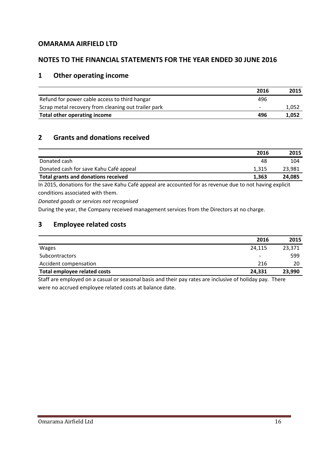## **NOTES TO THE FINANCIAL STATEMENTS FOR THE YEAR ENDED 30 JUNE 2016**

## **1 Other operating income**

|                                                     | 2016                     | 2015  |
|-----------------------------------------------------|--------------------------|-------|
| Refund for power cable access to third hangar       | 496                      |       |
| Scrap metal recovery from cleaning out trailer park | $\overline{\phantom{0}}$ | 1,052 |
| Total other operating income                        | 496                      | 1.052 |

## **2 Grants and donations received**

|                                            | 2016  | 2015   |
|--------------------------------------------|-------|--------|
| Donated cash                               | 48    | 104    |
| Donated cash for save Kahu Café appeal     | 1.315 | 23,981 |
| <b>Total grants and donations received</b> | 1.363 | 24,085 |

In 2015, donations for the save Kahu Café appeal are accounted for as revenue due to not having explicit conditions associated with them.

*Donated goods or services not recognised*

During the year, the Company received management services from the Directors at no charge.

## **3 Employee related costs**

|                                                                                                               | 2016                     | 2015   |
|---------------------------------------------------------------------------------------------------------------|--------------------------|--------|
| <b>Wages</b>                                                                                                  | 24,115                   | 23,371 |
| Subcontractors                                                                                                | $\overline{\phantom{a}}$ | 599    |
| Accident compensation                                                                                         | 216                      | 20     |
| Total employee related costs                                                                                  | 24.331                   | 23,990 |
| Chaff and doced and an a decoral and decoral haste and the transmission one trained in affective court. There |                          |        |

Staff are employed on a casual or seasonal basis and their pay rates are inclusive of holiday pay. There were no accrued employee related costs at balance date.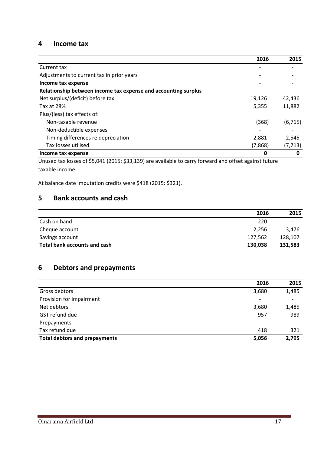#### **4 Income tax**

|                                                                | 2016    | 2015     |
|----------------------------------------------------------------|---------|----------|
| Current tax                                                    |         |          |
| Adjustments to current tax in prior years                      |         |          |
| Income tax expense                                             |         |          |
| Relationship between income tax expense and accounting surplus |         |          |
| Net surplus/(deficit) before tax                               | 19,126  | 42,436   |
| Tax at 28%                                                     | 5,355   | 11,882   |
| Plus/(less) tax effects of:                                    |         |          |
| Non-taxable revenue                                            | (368)   | (6, 715) |
| Non-deductible expenses                                        |         |          |
| Timing differences re depreciation                             | 2,881   | 2,545    |
| Tax losses utilised                                            | (7,868) | (7, 713) |
| Income tax expense                                             | 0       | 0        |

Unused tax losses of \$5,041 (2015: \$33,139) are available to carry forward and offset against future taxable income.

At balance date imputation credits were \$418 (2015: \$321).

## **5 Bank accounts and cash**

|                              | 2016    | 2015                     |
|------------------------------|---------|--------------------------|
| Cash on hand                 | 220     | $\overline{\phantom{0}}$ |
| Cheque account               | 2,256   | 3.476                    |
| Savings account              | 127,562 | 128,107                  |
| Total bank accounts and cash | 130,038 | 131,583                  |

## **6 Debtors and prepayments**

|                                      | 2016                     | 2015  |
|--------------------------------------|--------------------------|-------|
| Gross debtors                        | 3,680                    | 1,485 |
| Provision for impairment             | $\overline{\phantom{a}}$ |       |
| Net debtors                          | 3,680                    | 1,485 |
| GST refund due                       | 957                      | 989   |
| Prepayments                          | $\overline{\phantom{a}}$ |       |
| Tax refund due                       | 418                      | 321   |
| <b>Total debtors and prepayments</b> | 5,056                    | 2,795 |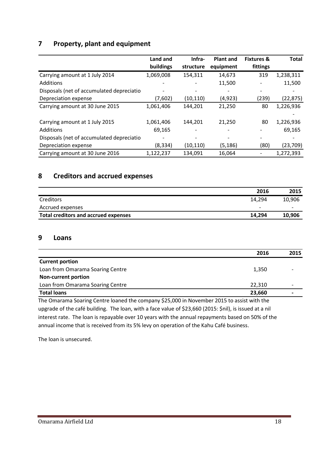## **7 Property, plant and equipment**

|                                           | Land and  | Infra-    | <b>Plant and</b> | <b>Fixtures &amp;</b> | <b>Total</b> |
|-------------------------------------------|-----------|-----------|------------------|-----------------------|--------------|
|                                           | buildings | structure | equipment        | fittings              |              |
| Carrying amount at 1 July 2014            | 1,069,008 | 154,311   | 14,673           | 319                   | 1,238,311    |
| Additions                                 |           |           | 11,500           |                       | 11,500       |
| Disposals (net of accumulated depreciatio |           |           |                  |                       |              |
| Depreciation expense                      | (7,602)   | (10, 110) | (4, 923)         | (239)                 | (22, 875)    |
| Carrying amount at 30 June 2015           | 1,061,406 | 144,201   | 21,250           | 80                    | 1,226,936    |
|                                           |           |           |                  |                       |              |
| Carrying amount at 1 July 2015            | 1,061,406 | 144.201   | 21,250           | 80                    | 1,226,936    |
| Additions                                 | 69,165    |           |                  |                       | 69,165       |
| Disposals (net of accumulated depreciatio |           |           |                  |                       |              |
| Depreciation expense                      | (8, 334)  | (10, 110) | (5, 186)         | (80)                  | (23,709)     |
| Carrying amount at 30 June 2016           | 1,122,237 | 134,091   | 16,064           |                       | 1,272,393    |

## **8 Creditors and accrued expenses**

|                                             | 2016                     | 2015   |
|---------------------------------------------|--------------------------|--------|
| Creditors                                   | 14.294                   | 10,906 |
| Accrued expenses                            | $\overline{\phantom{0}}$ |        |
| <b>Total creditors and accrued expenses</b> | 14.294                   | 10,906 |

### **9 Loans**

|                                                                                            | 2016   | 2015                     |
|--------------------------------------------------------------------------------------------|--------|--------------------------|
| <b>Current portion</b>                                                                     |        |                          |
| Loan from Omarama Soaring Centre                                                           | 1,350  |                          |
| <b>Non-current portion</b>                                                                 |        |                          |
| Loan from Omarama Soaring Centre                                                           | 22.310 | $\overline{\phantom{0}}$ |
| <b>Total loans</b>                                                                         | 23,660 |                          |
| The Omarama Soaring Centre loaned the company \$25,000 in November 2015 to assist with the |        |                          |

upgrade of the café building. The loan, with a face value of \$23,660 (2015: \$nil), is issued at a nil interest rate. The loan is repayable over 10 years with the annual repayments based on 50% of the annual income that is received from its 5% levy on operation of the Kahu Café business.

The loan is unsecured.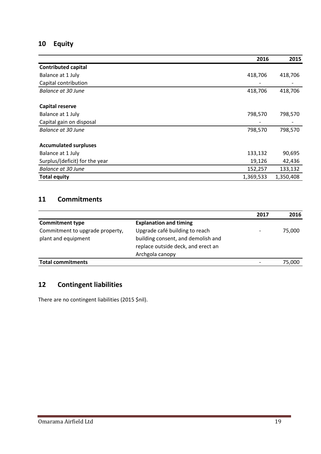## **10 Equity**

|                                | 2016      | 2015      |
|--------------------------------|-----------|-----------|
| <b>Contributed capital</b>     |           |           |
| Balance at 1 July              | 418,706   | 418,706   |
| Capital contribution           |           |           |
| Balance at 30 June             | 418,706   | 418,706   |
| <b>Capital reserve</b>         |           |           |
| Balance at 1 July              | 798,570   | 798,570   |
| Capital gain on disposal       |           |           |
| Balance at 30 June             | 798,570   | 798,570   |
| <b>Accumulated surpluses</b>   |           |           |
| Balance at 1 July              | 133,132   | 90,695    |
| Surplus/(deficit) for the year | 19,126    | 42,436    |
| <b>Balance at 30 June</b>      | 152,257   | 133,132   |
| <b>Total equity</b>            | 1,369,533 | 1,350,408 |

## **11 Commitments**

|                                 |                                    | 2017 | 2016   |
|---------------------------------|------------------------------------|------|--------|
| <b>Commitment type</b>          | <b>Explanation and timing</b>      |      |        |
| Commitment to upgrade property, | Upgrade café building to reach     |      | 75,000 |
| plant and equipment             | building consent, and demolish and |      |        |
|                                 | replace outside deck, and erect an |      |        |
|                                 | Archgola canopy                    |      |        |
| <b>Total commitments</b>        |                                    |      | 75.000 |

## **12 Contingent liabilities**

There are no contingent liabilities (2015 \$nil).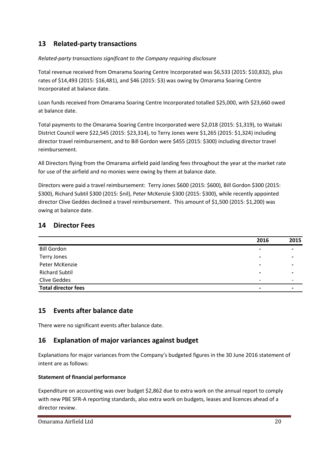## **13 Related-party transactions**

## *Related-party transactions significant to the Company requiring disclosure*

Total revenue received from Omarama Soaring Centre Incorporated was \$6,533 (2015: \$10,832), plus rates of \$14,493 (2015: \$16,481), and \$46 (2015: \$3) was owing by Omarama Soaring Centre Incorporated at balance date.

Loan funds received from Omarama Soaring Centre Incorporated totalled \$25,000, with \$23,660 owed at balance date.

Total payments to the Omarama Soaring Centre Incorporated were \$2,018 (2015: \$1,319), to Waitaki District Council were \$22,545 (2015: \$23,314), to Terry Jones were \$1,265 (2015: \$1,324) including director travel reimbursement, and to Bill Gordon were \$455 (2015: \$300) including director travel reimbursement.

All Directors flying from the Omarama airfield paid landing fees throughout the year at the market rate for use of the airfield and no monies were owing by them at balance date.

Directors were paid a travel reimbursement: Terry Jones \$600 (2015: \$600), Bill Gordon \$300 (2015: \$300), Richard Subtil \$300 (2015: \$nil), Peter McKenzie \$300 (2015: \$300), while recently appointed director Clive Geddes declined a travel reimbursement. This amount of \$1,500 (2015: \$1,200) was owing at balance date.

## **14 Director Fees**

|                            | 2016                     | 2015 |
|----------------------------|--------------------------|------|
| <b>Bill Gordon</b>         | $\overline{\phantom{0}}$ |      |
| Terry Jones                | -                        |      |
| Peter McKenzie             | -                        |      |
| <b>Richard Subtil</b>      | -                        |      |
| <b>Clive Geddes</b>        | $\overline{\phantom{0}}$ |      |
| <b>Total director fees</b> | -                        |      |

## **15 Events after balance date**

There were no significant events after balance date.

## **16 Explanation of major variances against budget**

Explanations for major variances from the Company's budgeted figures in the 30 June 2016 statement of intent are as follows:

### **Statement of financial performance**

Expenditure on accounting was over budget \$2,862 due to extra work on the annual report to comply with new PBE SFR-A reporting standards, also extra work on budgets, leases and licences ahead of a director review.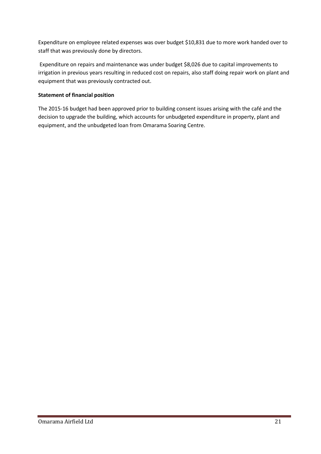Expenditure on employee related expenses was over budget \$10,831 due to more work handed over to staff that was previously done by directors.

Expenditure on repairs and maintenance was under budget \$8,026 due to capital improvements to irrigation in previous years resulting in reduced cost on repairs, also staff doing repair work on plant and equipment that was previously contracted out.

#### **Statement of financial position**

The 2015-16 budget had been approved prior to building consent issues arising with the café and the decision to upgrade the building, which accounts for unbudgeted expenditure in property, plant and equipment, and the unbudgeted loan from Omarama Soaring Centre.